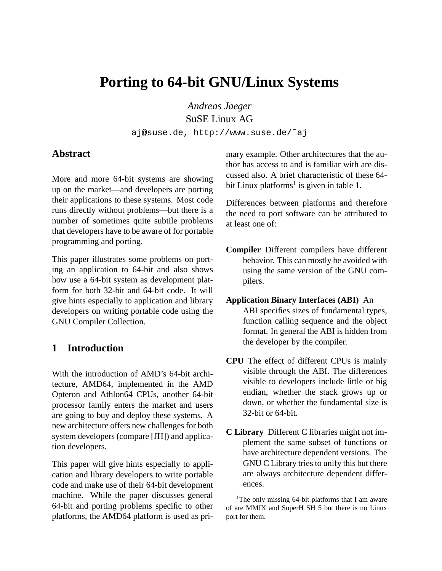# **Porting to 64-bit GNU/Linux Systems**

*Andreas Jaeger* SuSE Linux AG

aj@suse.de, http://www.suse.de/˜aj

## **Abstract**

More and more 64-bit systems are showing up on the market—and developers are porting their applications to these systems. Most code runs directly without problems—but there is a number of sometimes quite subtile problems that developers have to be aware of for portable programming and porting.

This paper illustrates some problems on porting an application to 64-bit and also shows how use a 64-bit system as development platform for both 32-bit and 64-bit code. It will give hints especially to application and library developers on writing portable code using the GNU Compiler Collection.

# **1 Introduction**

With the introduction of AMD's 64-bit architecture, AMD64, implemented in the AMD Opteron and Athlon64 CPUs, another 64-bit processor family enters the market and users are going to buy and deploy these systems. A new architecture offers new challenges for both system developers (compare [JH]) and application developers.

This paper will give hints especially to application and library developers to write portable code and make use of their 64-bit development machine. While the paper discusses general 64-bit and porting problems specific to other platforms, the AMD64 platform is used as primary example. Other architectures that the author has access to and is familiar with are discussed also. A brief characteristic of these 64 bit Linux platforms<sup>1</sup> is given in table 1.

Differences between platforms and therefore the need to port software can be attributed to at least one of:

- **Compiler** Different compilers have different behavior. This can mostly be avoided with using the same version of the GNU compilers.
- **Application Binary Interfaces (ABI)** An ABI specifies sizes of fundamental types, function calling sequence and the object format. In general the ABI is hidden from the developer by the compiler.
- **CPU** The effect of different CPUs is mainly visible through the ABI. The differences visible to developers include little or big endian, whether the stack grows up or down, or whether the fundamental size is 32-bit or 64-bit.
- **C Library** Different C libraries might not implement the same subset of functions or have architecture dependent versions. The GNU C Library tries to unify this but there are always architecture dependent differences.

<sup>&</sup>lt;sup>1</sup>The only missing 64-bit platforms that I am aware of are MMIX and SuperH SH 5 but there is no Linux port for them.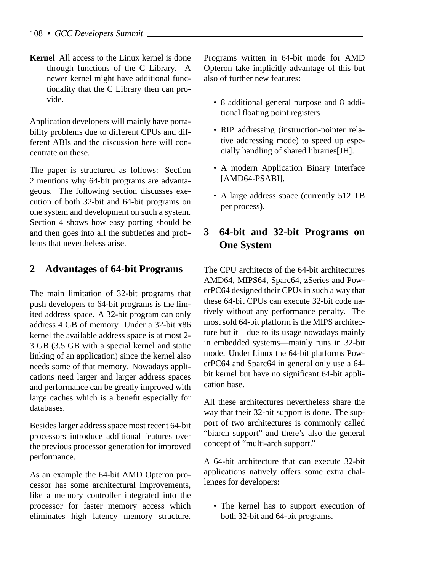**Kernel** All access to the Linux kernel is done through functions of the C Library. A newer kernel might have additional functionality that the C Library then can provide.

Application developers will mainly have portability problems due to different CPUs and different ABIs and the discussion here will concentrate on these.

The paper is structured as follows: Section 2 mentions why 64-bit programs are advantageous. The following section discusses execution of both 32-bit and 64-bit programs on one system and development on such a system. Section 4 shows how easy porting should be and then goes into all the subtleties and problems that nevertheless arise.

# **2 Advantages of 64-bit Programs**

The main limitation of 32-bit programs that push developers to 64-bit programs is the limited address space. A 32-bit program can only address 4 GB of memory. Under a 32-bit x86 kernel the available address space is at most 2- 3 GB (3.5 GB with a special kernel and static linking of an application) since the kernel also needs some of that memory. Nowadays applications need larger and larger address spaces and performance can be greatly improved with large caches which is a benefit especially for databases.

Besides larger address space most recent 64-bit processors introduce additional features over the previous processor generation for improved performance.

As an example the 64-bit AMD Opteron processor has some architectural improvements, like a memory controller integrated into the processor for faster memory access which eliminates high latency memory structure.

Programs written in 64-bit mode for AMD Opteron take implicitly advantage of this but also of further new features:

- 8 additional general purpose and 8 additional floating point registers
- RIP addressing (instruction-pointer relative addressing mode) to speed up especially handling of shared libraries[JH].
- A modern Application Binary Interface [AMD64-PSABI].
- A large address space (currently 512 TB per process).

# **3 64-bit and 32-bit Programs on One System**

The CPU architects of the 64-bit architectures AMD64, MIPS64, Sparc64, zSeries and PowerPC64 designed their CPUs in such a way that these 64-bit CPUs can execute 32-bit code natively without any performance penalty. The most sold 64-bit platform is the MIPS architecture but it—due to its usage nowadays mainly in embedded systems—mainly runs in 32-bit mode. Under Linux the 64-bit platforms PowerPC64 and Sparc64 in general only use a 64 bit kernel but have no significant 64-bit application base.

All these architectures nevertheless share the way that their 32-bit support is done. The support of two architectures is commonly called "biarch support" and there's also the general concept of "multi-arch support."

A 64-bit architecture that can execute 32-bit applications natively offers some extra challenges for developers:

• The kernel has to support execution of both 32-bit and 64-bit programs.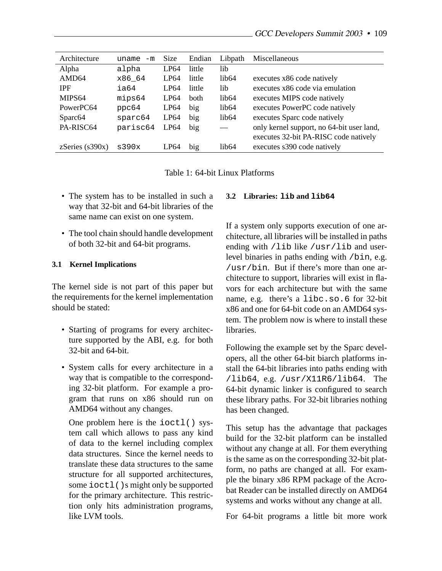| Architecture             | $uname -m$ | Size             | Endian | Libpath                  | Miscellaneous                             |
|--------------------------|------------|------------------|--------|--------------------------|-------------------------------------------|
| Alpha                    | alpha      | LP64             | little | lib                      |                                           |
| AMD <sub>64</sub>        | x86_64     | LP64             | little | lib64                    | executes x86 code natively                |
| <b>IPF</b>               | ia64       | LP64             | little | lib                      | executes x86 code via emulation           |
| MIPS <sub>64</sub>       | mips64     | LP64             | both   | lib64                    | executes MIPS code natively               |
| PowerPC64                | ppc64      | LP <sub>64</sub> | big    | lib64                    | executes PowerPC code natively            |
| Sparc <sub>64</sub>      | sparc64    | LP <sub>64</sub> | big    | lib64                    | executes Sparc code natively              |
| PA-RISC64                | parisc64   | LP <sub>64</sub> | big    | $\overline{\phantom{0}}$ | only kernel support, no 64-bit user land, |
|                          |            |                  |        |                          | executes 32-bit PA-RISC code natively     |
| $z\text{Series}$ (s390x) | s390x      | LP64             | big    | lib <sub>64</sub>        | executes s390 code natively               |

Table 1: 64-bit Linux Platforms

- The system has to be installed in such a way that 32-bit and 64-bit libraries of the same name can exist on one system.
- The tool chain should handle development of both 32-bit and 64-bit programs.

#### **3.1 Kernel Implications**

The kernel side is not part of this paper but the requirements for the kernel implementation should be stated:

- Starting of programs for every architecture supported by the ABI, e.g. for both 32-bit and 64-bit.
- System calls for every architecture in a way that is compatible to the corresponding 32-bit platform. For example a program that runs on x86 should run on AMD64 without any changes.

One problem here is the ioctl() system call which allows to pass any kind of data to the kernel including complex data structures. Since the kernel needs to translate these data structures to the same structure for all supported architectures, some ioctl()s might only be supported for the primary architecture. This restriction only hits administration programs, like LVM tools.

#### **3.2 Libraries: lib and lib64**

If a system only supports execution of one architecture, all libraries will be installed in paths ending with /lib like /usr/lib and userlevel binaries in paths ending with /bin, e.g. /usr/bin. But if there's more than one architecture to support, libraries will exist in flavors for each architecture but with the same name, e.g. there's a libc.so.6 for 32-bit x86 and one for 64-bit code on an AMD64 system. The problem now is where to install these libraries.

Following the example set by the Sparc developers, all the other 64-bit biarch platforms install the 64-bit libraries into paths ending with /lib64, e.g. /usr/X11R6/lib64. The 64-bit dynamic linker is configured to search these library paths. For 32-bit libraries nothing has been changed.

This setup has the advantage that packages build for the 32-bit platform can be installed without any change at all. For them everything is the same as on the corresponding 32-bit platform, no paths are changed at all. For example the binary x86 RPM package of the Acrobat Reader can be installed directly on AMD64 systems and works without any change at all.

For 64-bit programs a little bit more work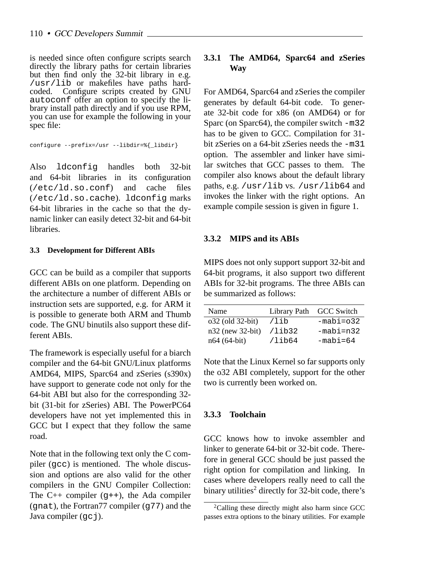is needed since often configure scripts search directly the library paths for certain libraries but then find only the 32-bit library in e.g. /usr/lib or makefiles have paths hardcoded. Configure scripts created by GNU autoconf offer an option to specify the library install path directly and if you use RPM, you can use for example the following in your spec file:

```
configure --prefix=/usr --libdir=%{_libdir}
```
Also ldconfig handles both 32-bit and 64-bit libraries in its configuration (/etc/ld.so.conf) and cache files (/etc/ld.so.cache). ldconfig marks 64-bit libraries in the cache so that the dynamic linker can easily detect 32-bit and 64-bit libraries.

#### **3.3 Development for Different ABIs**

GCC can be build as a compiler that supports different ABIs on one platform. Depending on the architecture a number of different ABIs or instruction sets are supported, e.g. for ARM it is possible to generate both ARM and Thumb code. The GNU binutils also support these different ABIs.

The framework is especially useful for a biarch compiler and the 64-bit GNU/Linux platforms AMD64, MIPS, Sparc64 and zSeries (s390x) have support to generate code not only for the 64-bit ABI but also for the corresponding 32 bit (31-bit for zSeries) ABI. The PowerPC64 developers have not yet implemented this in GCC but I expect that they follow the same road.

Note that in the following text only the C compiler (gcc) is mentioned. The whole discussion and options are also valid for the other compilers in the GNU Compiler Collection: The  $C_{++}$  compiler (q++), the Ada compiler (gnat), the Fortran77 compiler (g77) and the Java compiler  $(qc_i)$ .

## **3.3.1 The AMD64, Sparc64 and zSeries Way**

For AMD64, Sparc64 and zSeries the compiler generates by default 64-bit code. To generate 32-bit code for x86 (on AMD64) or for Sparc (on Sparc64), the compiler switch -m32 has to be given to GCC. Compilation for 31 bit zSeries on a 64-bit zSeries needs the -m31 option. The assembler and linker have similar switches that GCC passes to them. The compiler also knows about the default library paths, e.g. /usr/lib vs. /usr/lib64 and invokes the linker with the right options. An example compile session is given in figure 1.

#### **3.3.2 MIPS and its ABIs**

MIPS does not only support support 32-bit and 64-bit programs, it also support two different ABIs for 32-bit programs. The three ABIs can be summarized as follows:

| Name               |           | Library Path GCC Switch |
|--------------------|-----------|-------------------------|
| o32 (old 32-bit)   | /lib      | $-mabi=032$             |
| $n32$ (new 32-bit) | /lib32    | $-mabi=n32$             |
| $n64 (64-bit)$     | $/1$ ib64 | $-mabi=64$              |

Note that the Linux Kernel so far supports only the o32 ABI completely, support for the other two is currently been worked on.

#### **3.3.3 Toolchain**

GCC knows how to invoke assembler and linker to generate 64-bit or 32-bit code. Therefore in general GCC should be just passed the right option for compilation and linking. In cases where developers really need to call the binary utilities<sup>2</sup> directly for 32-bit code, there's

<sup>&</sup>lt;sup>2</sup>Calling these directly might also harm since GCC passes extra options to the binary utilities. For example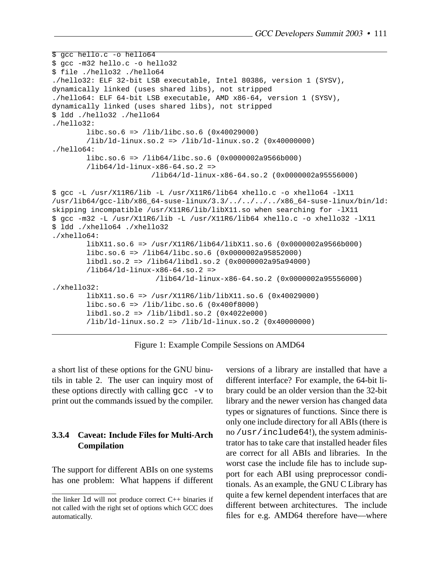```
$ gcc hello.c -o hello64
$ gcc -m32 hello.c -o hello32
$ file ./hello32 ./hello64
./hello32: ELF 32-bit LSB executable, Intel 80386, version 1 (SYSV),
dynamically linked (uses shared libs), not stripped
./hello64: ELF 64-bit LSB executable, AMD x86-64, version 1 (SYSV),
dynamically linked (uses shared libs), not stripped
$ ldd ./hello32 ./hello64
./hello32:
        libc.so.6 => /lib/libc.so.6 (0x40029000)
        /lib/ld-linux.so.2 => /lib/ld-linux.so.2 (0x40000000)
./hello64:
        libc.so.6 => /lib64/libc.so.6 (0x0000002a9566b000)
        /lib64/ld-linux-x86-64.so.2 =>
                       /lib64/ld-linux-x86-64.so.2 (0x0000002a95556000)
$ gcc -L /usr/X11R6/lib -L /usr/X11R6/lib64 xhello.c -o xhello64 -lX11
/usr/lib64/gcc-lib/x86_64-suse-linux/3.3/../../../../x86_64-suse-linux/bin/ld:
skipping incompatible /usr/X11R6/lib/libX11.so when searching for -lX11
$ gcc -m32 -L /usr/X11R6/lib -L /usr/X11R6/lib64 xhello.c -o xhello32 -lX11
$ ldd ./xhello64 ./xhello32
./xhello64:
        libX11.so.6 => /usr/X11R6/lib64/libX11.so.6 (0x0000002a9566b000)
        libc.so.6 => /lib64/libc.so.6 (0x0000002a95852000)
        libdl.so.2 => /lib64/libdl.so.2 (0x0000002a95a94000)
        /lib64/ld-linux-x86-64.so.2 =>
                        /lib64/ld-linux-x86-64.so.2 (0x0000002a95556000)
./xhello32:
        libX11.so.6 => /usr/X11R6/lib/libX11.so.6 (0x40029000)
        libc.so.6 => /lib/libc.so.6 (0x400f8000)
        libdl.so.2 => /lib/libdl.so.2 (0x4022e000)
        /lib/ld-linux.so.2 => /lib/ld-linux.so.2 (0x40000000)
```
Figure 1: Example Compile Sessions on AMD64

a short list of these options for the GNU binutils in table 2. The user can inquiry most of these options directly with calling  $\frac{1}{2}$  cc  $-\frac{v}{v}$  to print out the commands issued by the compiler.

#### **3.3.4 Caveat: Include Files for Multi-Arch Compilation**

The support for different ABIs on one systems has one problem: What happens if different versions of a library are installed that have a different interface? For example, the 64-bit library could be an older version than the 32-bit library and the newer version has changed data types or signatures of functions. Since there is only one include directory for all ABIs (there is no /usr/include64!), the system administrator has to take care that installed header files are correct for all ABIs and libraries. In the worst case the include file has to include support for each ABI using preprocessor conditionals. As an example, the GNU C Library has quite a few kernel dependent interfaces that are different between architectures. The include files for e.g. AMD64 therefore have—where

the linker ld will not produce correct C++ binaries if not called with the right set of options which GCC does automatically.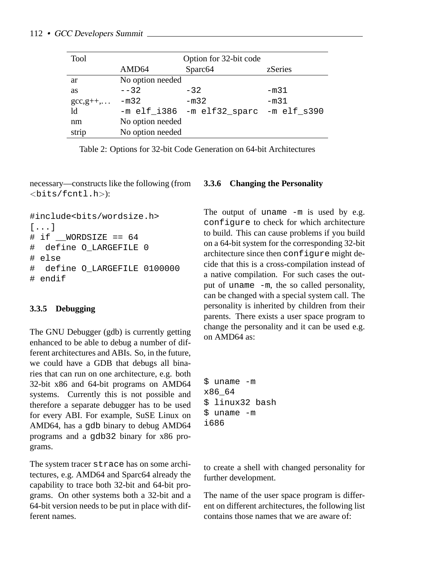| <b>Tool</b>                  | Option for 32-bit code |                                        |         |  |
|------------------------------|------------------------|----------------------------------------|---------|--|
|                              | AMD64                  | Sparc <sub>64</sub>                    | zSeries |  |
| ar                           | No option needed       |                                        |         |  |
| <b>as</b>                    | $- - 32$               | $-32$                                  | -m31    |  |
| $\gcd(2, 2^{2} + 1, \ldots)$ | $-m32$                 | $-m32$                                 | $-m31$  |  |
| $\operatorname{Id}$          |                        | -m elf_i386 -m elf32_sparc -m elf_s390 |         |  |
| nm                           | No option needed       |                                        |         |  |
| strip                        | No option needed       |                                        |         |  |

Table 2: Options for 32-bit Code Generation on 64-bit Architectures

necessary—constructs like the following (from <bits/fcntl.h>):

```
#include<bits/wordsize.h>
[...]
\# if WORDSIZE == 64
# define O_LARGEFILE 0
# else
# define O_LARGEFILE 0100000
# endif
```
## **3.3.5 Debugging**

The GNU Debugger (gdb) is currently getting enhanced to be able to debug a number of different architectures and ABIs. So, in the future, we could have a GDB that debugs all binaries that can run on one architecture, e.g. both 32-bit x86 and 64-bit programs on AMD64 systems. Currently this is not possible and therefore a separate debugger has to be used for every ABI. For example, SuSE Linux on AMD64, has a gdb binary to debug AMD64 programs and a gdb32 binary for x86 programs.

The system tracer strace has on some architectures, e.g. AMD64 and Sparc64 already the capability to trace both 32-bit and 64-bit programs. On other systems both a 32-bit and a 64-bit version needs to be put in place with different names.

## **3.3.6 Changing the Personality**

The output of uname -m is used by e.g. configure to check for which architecture to build. This can cause problems if you build on a 64-bit system for the corresponding 32-bit architecture since then configure might decide that this is a cross-compilation instead of a native compilation. For such cases the output of uname -m, the so called personality, can be changed with a special system call. The personality is inherited by children from their parents. There exists a user space program to change the personality and it can be used e.g. on AMD64 as:

```
$ uname -m
x86_64
$ linux32 bash
$ uname -m
i686
```
to create a shell with changed personality for further development.

The name of the user space program is different on different architectures, the following list contains those names that we are aware of: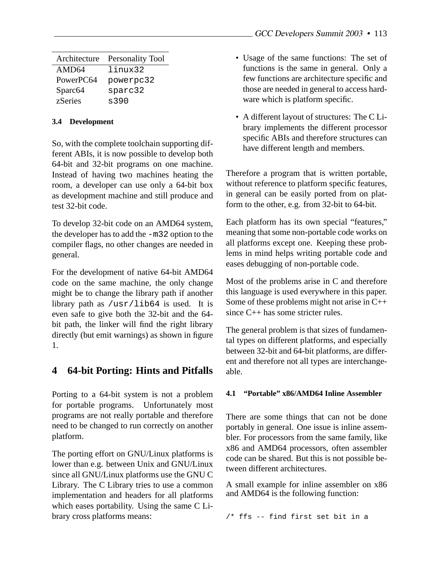| Architecture        | Personality Tool |
|---------------------|------------------|
| AMD64               | linux32          |
| PowerPC64           | powerpc32        |
| Sparc <sub>64</sub> | sparc32          |
| zSeries             | s390             |

#### **3.4 Development**

So, with the complete toolchain supporting different ABIs, it is now possible to develop both 64-bit and 32-bit programs on one machine. Instead of having two machines heating the room, a developer can use only a 64-bit box as development machine and still produce and test 32-bit code.

To develop 32-bit code on an AMD64 system, the developer has to add the -m32 option to the compiler flags, no other changes are needed in general.

For the development of native 64-bit AMD64 code on the same machine, the only change might be to change the library path if another library path as  $\sqrt{usr/1ib64}$  is used. It is even safe to give both the 32-bit and the 64 bit path, the linker will find the right library directly (but emit warnings) as shown in figure 1.

## **4 64-bit Porting: Hints and Pitfalls**

Porting to a 64-bit system is not a problem for portable programs. Unfortunately most programs are not really portable and therefore need to be changed to run correctly on another platform.

The porting effort on GNU/Linux platforms is lower than e.g. between Unix and GNU/Linux since all GNU/Linux platforms use the GNU C Library. The C Library tries to use a common implementation and headers for all platforms which eases portability. Using the same C Library cross platforms means:

- Usage of the same functions: The set of functions is the same in general. Only a few functions are architecture specific and those are needed in general to access hardware which is platform specific.
- A different layout of structures: The C Library implements the different processor specific ABIs and therefore structures can have different length and members.

Therefore a program that is written portable, without reference to platform specific features, in general can be easily ported from on platform to the other, e.g. from 32-bit to 64-bit.

Each platform has its own special "features," meaning that some non-portable code works on all platforms except one. Keeping these problems in mind helps writing portable code and eases debugging of non-portable code.

Most of the problems arise in C and therefore this language is used everywhere in this paper. Some of these problems might not arise in  $C_{++}$ since C++ has some stricter rules.

The general problem is that sizes of fundamental types on different platforms, and especially between 32-bit and 64-bit platforms, are different and therefore not all types are interchangeable.

## **4.1 "Portable" x86/AMD64 Inline Assembler**

There are some things that can not be done portably in general. One issue is inline assembler. For processors from the same family, like x86 and AMD64 processors, often assembler code can be shared. But this is not possible between different architectures.

A small example for inline assembler on x86 and AMD64 is the following function:

/\* ffs -- find first set bit in a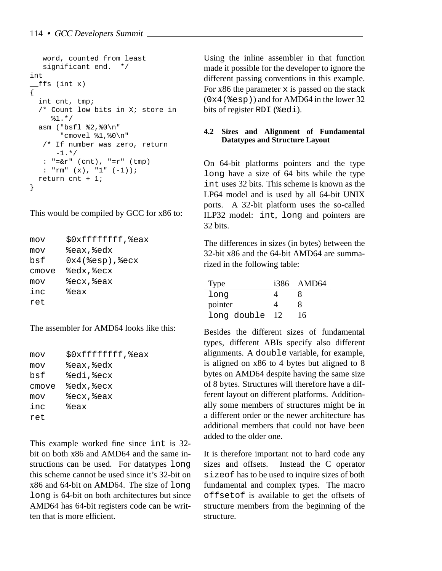```
word, counted from least
   significant end. */
int
 __ffs (int x)
{
  int cnt, tmp;
  /* Count low bits in X; store in
     81.*/asm ("bsfl %2,%0\n"
       "cmovel %1,%0\n"
   /* If number was zero, return
      -1. * /
   : "=\&r" (cnt), "=r" (tmp)
   : "rm" (x), "1" (-1));
  return cnt + 1;
}
```
This would be compiled by GCC for x86 to:

```
mov $0xffffffff,%eax
mov %eax,%edx
bsf 0x4(%esp),%ecx
cmove %edx,%ecx
mov %ecx,%eax
inc %eax
ret
```
The assembler for AMD64 looks like this:

```
mov $0xffffffff,%eax
mov %eax,%edx
bsf %edi,%ecx
cmove %edx,%ecx
mov %ecx,%eax
inc %eax
ret
```
This example worked fine since int is 32 bit on both x86 and AMD64 and the same instructions can be used. For datatypes long this scheme cannot be used since it's 32-bit on x86 and 64-bit on AMD64. The size of long long is 64-bit on both architectures but since AMD64 has 64-bit registers code can be written that is more efficient.

Using the inline assembler in that function made it possible for the developer to ignore the different passing conventions in this example. For  $x86$  the parameter  $x$  is passed on the stack (0x4(%esp)) and for AMD64 in the lower 32 bits of register RDI (%edi).

## **4.2 Sizes and Alignment of Fundamental Datatypes and Structure Layout**

On 64-bit platforms pointers and the type long have a size of 64 bits while the type int uses 32 bits. This scheme is known as the LP64 model and is used by all 64-bit UNIX ports. A 32-bit platform uses the so-called ILP32 model: int, long and pointers are 32 bits.

The differences in sizes (in bytes) between the 32-bit x86 and the 64-bit AMD64 are summarized in the following table:

| <b>Type</b> |    | i386 AMD64 |
|-------------|----|------------|
| long        |    |            |
| pointer     |    | x          |
| long double | 12 | 16         |

Besides the different sizes of fundamental types, different ABIs specify also different alignments. A double variable, for example, is aligned on x86 to 4 bytes but aligned to 8 bytes on AMD64 despite having the same size of 8 bytes. Structures will therefore have a different layout on different platforms. Additionally some members of structures might be in a different order or the newer architecture has additional members that could not have been added to the older one.

It is therefore important not to hard code any sizes and offsets. Instead the C operator sizeof has to be used to inquire sizes of both fundamental and complex types. The macro offsetof is available to get the offsets of structure members from the beginning of the structure.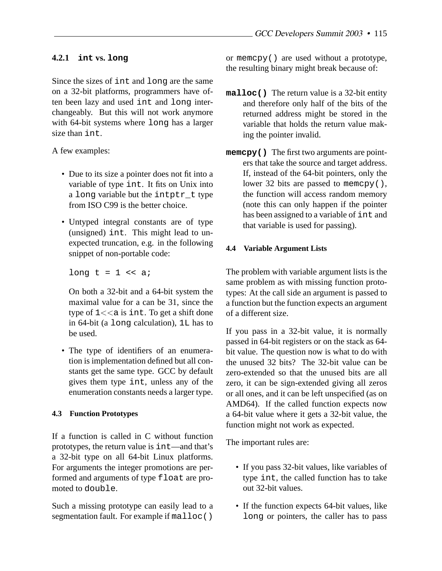## **4.2.1 int vs. long**

Since the sizes of int and long are the same on a 32-bit platforms, programmers have often been lazy and used int and long interchangeably. But this will not work anymore with 64-bit systems where long has a larger size than int.

A few examples:

- Due to its size a pointer does not fit into a variable of type int. It fits on Unix into a long variable but the intptr\_t type from ISO C99 is the better choice.
- Untyped integral constants are of type (unsigned) int. This might lead to unexpected truncation, e.g. in the following snippet of non-portable code:

long  $t = 1$  << a;

On both a 32-bit and a 64-bit system the maximal value for a can be 31, since the type of  $1 \lt \lt a$  is int. To get a shift done in 64-bit (a long calculation), 1L has to be used.

• The type of identifiers of an enumeration is implementation defined but all constants get the same type. GCC by default gives them type int, unless any of the enumeration constants needs a larger type.

## **4.3 Function Prototypes**

If a function is called in C without function prototypes, the return value is int—and that's a 32-bit type on all 64-bit Linux platforms. For arguments the integer promotions are performed and arguments of type float are promoted to double.

Such a missing prototype can easily lead to a segmentation fault. For example if malloc()

or memcpy() are used without a prototype, the resulting binary might break because of:

- **malloc()** The return value is a 32-bit entity and therefore only half of the bits of the returned address might be stored in the variable that holds the return value making the pointer invalid.
- **memcpy()** The first two arguments are pointers that take the source and target address. If, instead of the 64-bit pointers, only the lower 32 bits are passed to memory(), the function will access random memory (note this can only happen if the pointer has been assigned to a variable of int and that variable is used for passing).

## **4.4 Variable Argument Lists**

The problem with variable argument lists is the same problem as with missing function prototypes: At the call side an argument is passed to a function but the function expects an argument of a different size.

If you pass in a 32-bit value, it is normally passed in 64-bit registers or on the stack as 64 bit value. The question now is what to do with the unused 32 bits? The 32-bit value can be zero-extended so that the unused bits are all zero, it can be sign-extended giving all zeros or all ones, and it can be left unspecified (as on AMD64). If the called function expects now a 64-bit value where it gets a 32-bit value, the function might not work as expected.

The important rules are:

- If you pass 32-bit values, like variables of type int, the called function has to take out 32-bit values.
- If the function expects 64-bit values, like long or pointers, the caller has to pass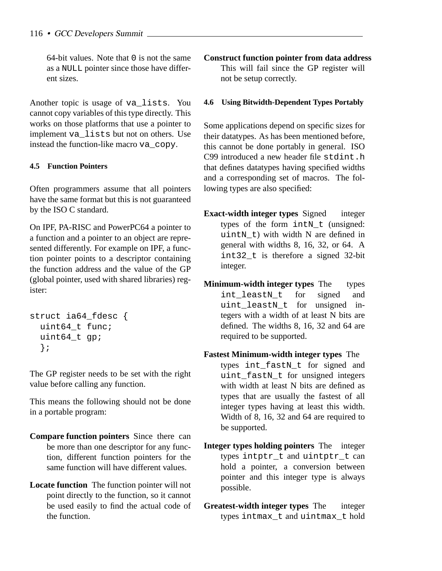64-bit values. Note that 0 is not the same as a NULL pointer since those have different sizes.

Another topic is usage of va\_lists. You cannot copy variables of this type directly. This works on those platforms that use a pointer to implement va\_lists but not on others. Use instead the function-like macro va\_copy.

## **4.5 Function Pointers**

Often programmers assume that all pointers have the same format but this is not guaranteed by the ISO C standard.

On IPF, PA-RISC and PowerPC64 a pointer to a function and a pointer to an object are represented differently. For example on IPF, a function pointer points to a descriptor containing the function address and the value of the GP (global pointer, used with shared libraries) register:

```
struct ia64_fdesc {
  uint64_t func;
  uint64_t gp;
  };
```
The GP register needs to be set with the right value before calling any function.

This means the following should not be done in a portable program:

- **Compare function pointers** Since there can be more than one descriptor for any function, different function pointers for the same function will have different values.
- **Locate function** The function pointer will not point directly to the function, so it cannot be used easily to find the actual code of the function.

**Construct function pointer from data address** This will fail since the GP register will not be setup correctly.

#### **4.6 Using Bitwidth-Dependent Types Portably**

Some applications depend on specific sizes for their datatypes. As has been mentioned before, this cannot be done portably in general. ISO C99 introduced a new header file stdint.h that defines datatypes having specified widths and a corresponding set of macros. The following types are also specified:

- **Exact-width integer types** Signed integer types of the form intN\_t (unsigned: uintN t) with width N are defined in general with widths 8, 16, 32, or 64. A int32\_t is therefore a signed 32-bit integer.
- **Minimum-width integer types** The types int leastN t for signed and uint\_leastN\_t for unsigned integers with a width of at least N bits are defined. The widths 8, 16, 32 and 64 are required to be supported.
- **Fastest Minimum-width integer types** The types int\_fastN\_t for signed and uint fastN t for unsigned integers with width at least N bits are defined as types that are usually the fastest of all integer types having at least this width. Width of 8, 16, 32 and 64 are required to be supported.
- **Integer types holding pointers** The integer types intptr t and uintptr t can hold a pointer, a conversion between pointer and this integer type is always possible.
- **Greatest-width integer types** The integer types intmax\_t and uintmax\_t hold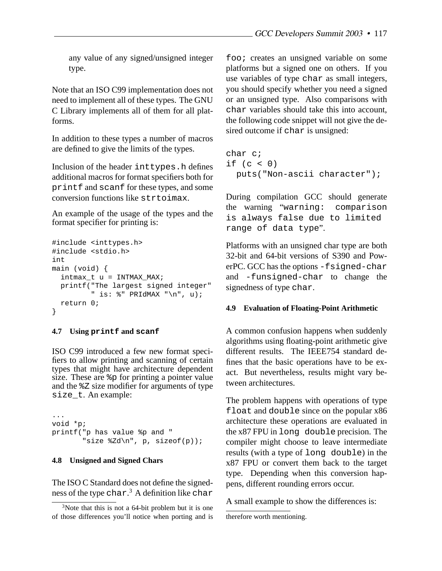any value of any signed/unsigned integer type.

Note that an ISO C99 implementation does not need to implement all of these types. The GNU C Library implements all of them for all platforms.

In addition to these types a number of macros are defined to give the limits of the types.

Inclusion of the header inttypes.h defines additional macros for format specifiers both for printf and scanf for these types, and some conversion functions like strtoimax.

An example of the usage of the types and the format specifier for printing is:

```
#include <inttypes.h>
#include <stdio.h>
int
main (void) {
  intmax_t u = INTMAX_MAX;
  printf("The largest signed integer"
         " is: \ell" PRIdMAX "\n", u);
 return 0;
}
```
#### **4.7 Using printf and scanf**

ISO C99 introduced a few new format specifiers to allow printing and scanning of certain types that might have architecture dependent size. These are %p for printing a pointer value and the %Z size modifier for arguments of type size\_t. An example:

```
...
void *p;
printf("p has value %p and "
       "size Zd\n", p, sizeof(p));
```
#### **4.8 Unsigned and Signed Chars**

The ISO C Standard does not define the signedness of the type  $\textrm{char.}^3$  A definition like  $\textrm{char}$ 

foo; creates an unsigned variable on some platforms but a signed one on others. If you use variables of type char as small integers, you should specify whether you need a signed or an unsigned type. Also comparisons with char variables should take this into account, the following code snippet will not give the desired outcome if char is unsigned:

```
char c;
if (c < 0)puts("Non-ascii character");
```
During compilation GCC should generate the warning "warning: comparison is always false due to limited range of data type".

Platforms with an unsigned char type are both 32-bit and 64-bit versions of S390 and PowerPC. GCC has the options -fsigned-char and -funsigned-char to change the signedness of type char.

#### **4.9 Evaluation of Floating-Point Arithmetic**

A common confusion happens when suddenly algorithms using floating-point arithmetic give different results. The IEEE754 standard defines that the basic operations have to be exact. But nevertheless, results might vary between architectures.

The problem happens with operations of type float and double since on the popular x86 architecture these operations are evaluated in the x87 FPU in long double precision. The compiler might choose to leave intermediate results (with a type of long double) in the x87 FPU or convert them back to the target type. Depending when this conversion happens, different rounding errors occur.

A small example to show the differences is:

 $3$ Note that this is not a 64-bit problem but it is one of those differences you'll notice when porting and is

therefore worth mentioning.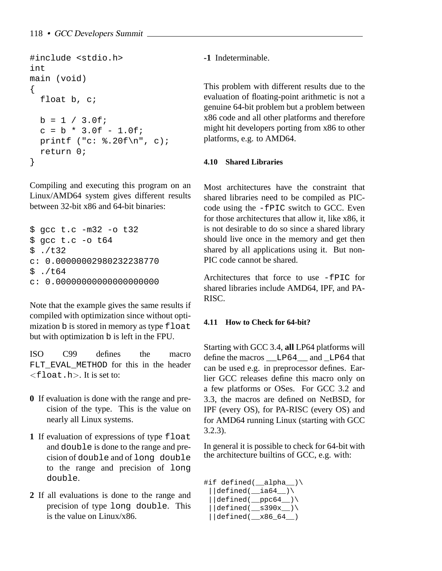```
#include <stdio.h>
int
main (void)
{
  float b, c;
  b = 1 / 3.0f;
  c = b * 3.0f - 1.0f;
  printf ("c: %.20f\nu", c);return 0;
}
```
Compiling and executing this program on an Linux/AMD64 system gives different results between 32-bit x86 and 64-bit binaries:

```
$ gcc t.c -m32 -o t32
$ gcc t.c -o t64
$./t32c: 0.00000002980232238770
$./t64c: 0.00000000000000000000
```
Note that the example gives the same results if compiled with optimization since without optimization b is stored in memory as type float but with optimization b is left in the FPU.

ISO C99 defines the macro FLT\_EVAL\_METHOD for this in the header  $\langle$ float.h $\rangle$ . It is set to:

- **0** If evaluation is done with the range and precision of the type. This is the value on nearly all Linux systems.
- **1** If evaluation of expressions of type float and double is done to the range and precision of double and of long double to the range and precision of long double.
- **2** If all evaluations is done to the range and precision of type long double. This is the value on Linux/x86.

**-1** Indeterminable.

This problem with different results due to the evaluation of floating-point arithmetic is not a genuine 64-bit problem but a problem between x86 code and all other platforms and therefore might hit developers porting from x86 to other platforms, e.g. to AMD64.

## **4.10 Shared Libraries**

Most architectures have the constraint that shared libraries need to be compiled as PICcode using the -fPIC switch to GCC. Even for those architectures that allow it, like x86, it is not desirable to do so since a shared library should live once in the memory and get then shared by all applications using it. But non-PIC code cannot be shared.

Architectures that force to use -fPIC for shared libraries include AMD64, IPF, and PA-RISC.

## **4.11 How to Check for 64-bit?**

Starting with GCC 3.4, **all** LP64 platforms will define the macros \_\_LP64\_\_ and \_LP64 that can be used e.g. in preprocessor defines. Earlier GCC releases define this macro only on a few platforms or OSes. For GCC 3.2 and 3.3, the macros are defined on NetBSD, for IPF (every OS), for PA-RISC (every OS) and for AMD64 running Linux (starting with GCC 3.2.3).

In general it is possible to check for 64-bit with the architecture builtins of GCC, e.g. with:

```
#if defined(__alpha__)\
 ||\text{defined}(\text{__ia64} \text{__})\setminus||\text{defined}(\text{ppc64})\rangle||defined( s390x )\n||defined(__x86_64__)
```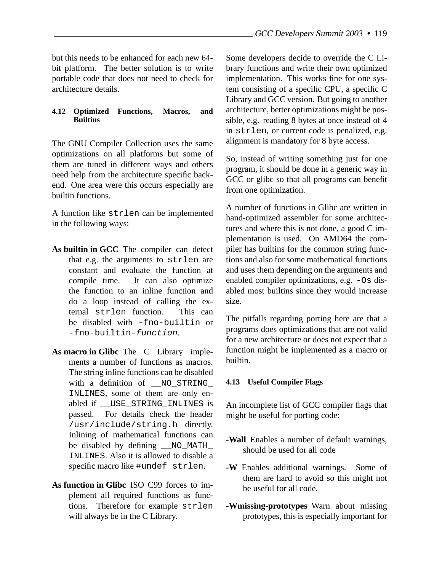but this needs to be enhanced for each new 64 bit platform. The better solution is to write portable code that does not need to check for architecture details.

## **4.12 Optimized Functions, Macros, and Builtins**

The GNU Compiler Collection uses the same optimizations on all platforms but some of them are tuned in different ways and others need help from the architecture specific backend. One area were this occurs especially are builtin functions.

A function like strlen can be implemented in the following ways:

- **As builtin in GCC** The compiler can detect that e.g. the arguments to strlen are constant and evaluate the function at compile time. It can also optimize the function to an inline function and do a loop instead of calling the external strlen function. This can be disabled with -fno-builtin or -fno-builtin-function.
- **As macro in Glibc** The C Library implements a number of functions as macros. The string inline functions can be disabled with a definition of \_\_NO\_STRING\_ INLINES, some of them are only enabled if \_\_USE\_STRING\_INLINES is passed. For details check the header /usr/include/string.h directly. Inlining of mathematical functions can be disabled by defining \_\_NO\_MATH\_ INLINES. Also it is allowed to disable a specific macro like #undef strlen.
- **As function in Glibc** ISO C99 forces to implement all required functions as functions. Therefore for example strlen will always be in the C Library.

Some developers decide to override the C Library functions and write their own optimized implementation. This works fine for one system consisting of a specific CPU, a specific C Library and GCC version. But going to another architecture, better optimizations might be possible, e.g. reading 8 bytes at once instead of 4 in strlen, or current code is penalized, e.g. alignment is mandatory for 8 byte access.

So, instead of writing something just for one program, it should be done in a generic way in GCC or glibc so that all programs can benefit from one optimization.

A number of functions in Glibc are written in hand-optimized assembler for some architectures and where this is not done, a good C implementation is used. On AMD64 the compiler has builtins for the common string functions and also for some mathematical functions and uses them depending on the arguments and enabled compiler optimizations, e.g. -Os disabled most builtins since they would increase size.

The pitfalls regarding porting here are that a programs does optimizations that are not valid for a new architecture or does not expect that a function might be implemented as a macro or builtin.

## **4.13 Useful Compiler Flags**

An incomplete list of GCC compiler flags that might be useful for porting code:

- **-Wall** Enables a number of default warnings, should be used for all code
- **-W** Enables additional warnings. Some of them are hard to avoid so this might not be useful for all code.
- **-Wmissing-prototypes** Warn about missing prototypes, this is especially important for